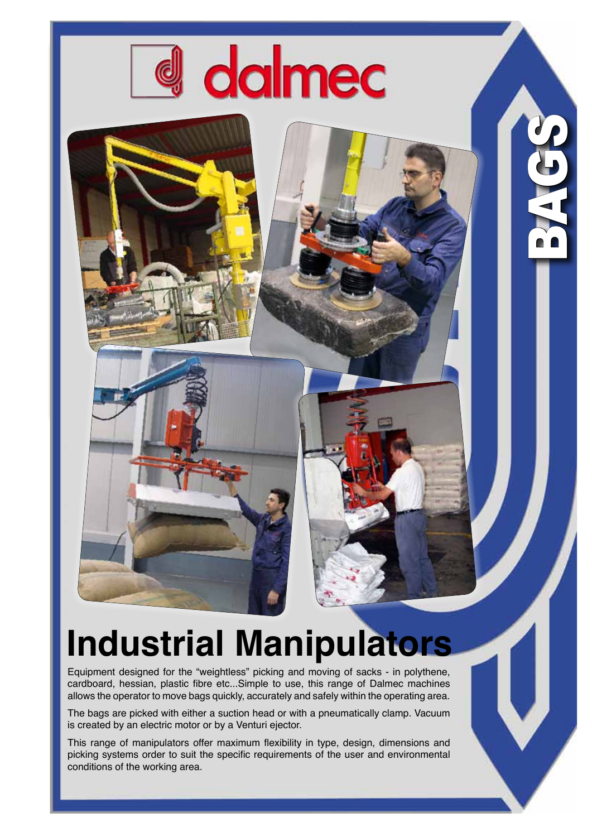

## **Industrial Manipulators**

S01

**bag** 

Equipment designed for the "weightless" picking and moving of sacks - in polythene, cardboard, hessian, plastic fibre etc...Simple to use, this range of Dalmec machines allows the operator to move bags quickly, accurately and safely within the operating area.

The bags are picked with either a suction head or with a pneumatically clamp. Vacuum is created by an electric motor or by a Venturi ejector.

This range of manipulators offer maximum flexibility in type, design, dimensions and picking systems order to suit the specific requirements of the user and environmental conditions of the working area.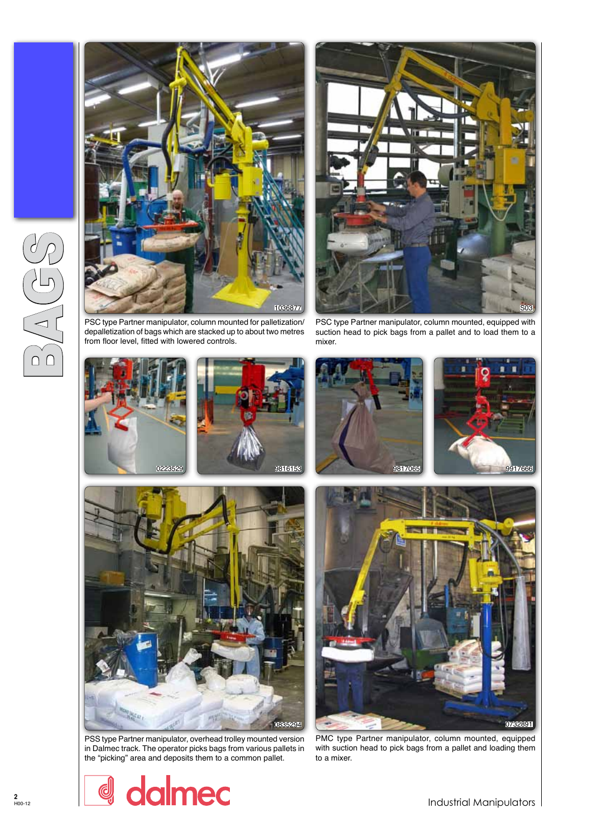



depalletization of bags which are stacked up to about two metres from floor level, fitted with lowered controls.

PSC type Partner manipulator, column mounted, equipped with suction head to pick bags from a pallet and to load them to a mixer.



PSS type Partner manipulator, overhead trolley mounted version in Dalmec track. The operator picks bags from various pallets in the "picking" area and deposits them to a common pallet.

PMC type Partner manipulator, column mounted, equipped with suction head to pick bags from a pallet and loading them to a mixer.

dalmec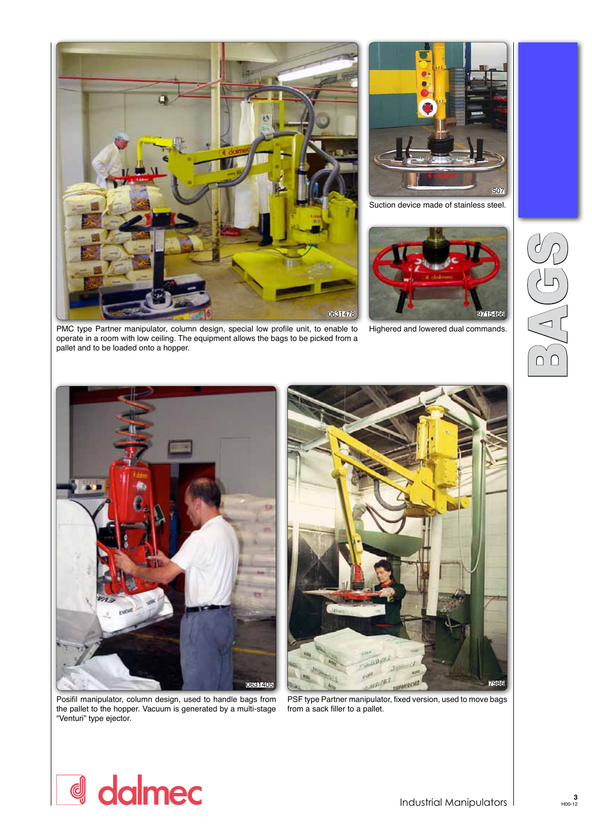



Suction device made of stainless steel.



BAG<del>S</del>

Highered and lowered dual commands.

PMC type Partner manipulator, column design, special low profile unit, to enable to operate in a room with low ceiling. The equipment allows the bags to be picked from a pallet and to be loaded onto a hopper.



Posifil manipulator, column design, used to handle bags from the pallet to the hopper. Vacuum is generated by a multi-stage "Venturi" type ejector.



PSF type Partner manipulator, fixed version, used to move bags from a sack filler to a pallet.

## d dalmec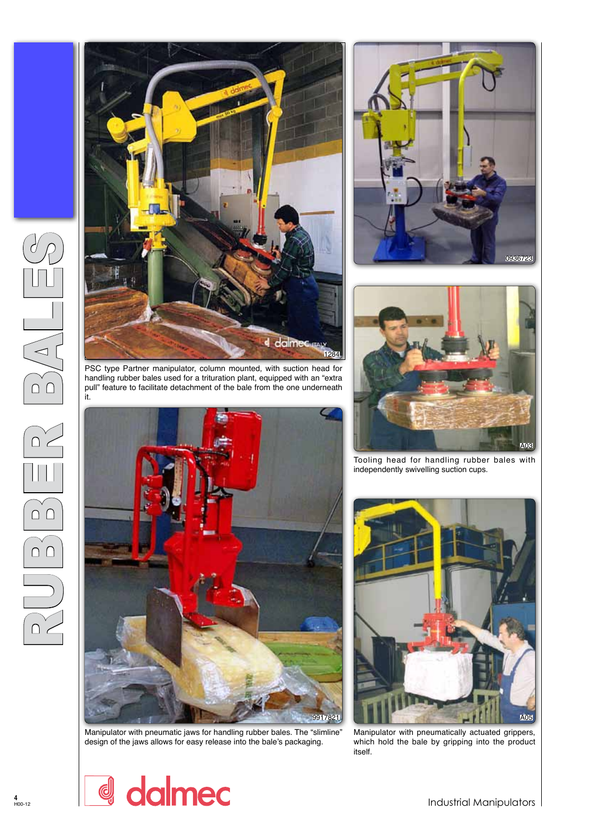







Manipulator with pneumatic jaws for handling rubber bales. The "slimline" design of the jaws allows for easy release into the bale's packaging.

 $\overline{\mathsf{A}^{\mathsf{O}}^{\mathsf{2}}}$ 

Tooling head for handling rubber bales with independently swivelling suction cups.



Manipulator with pneumatically actuated grippers, which hold the bale by gripping into the product itself.



Industrial Manipulators